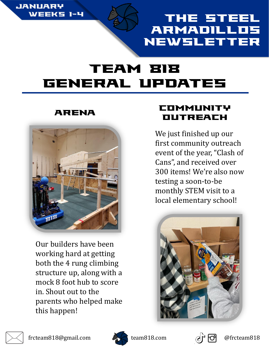

## The Steel **ARMADILLO** Newsletter

# Team 818 General Updates



Our builders have been working hard at getting both the 4 rung climbing structure up, along with a mock 8 foot hub to score in. Shout out to the parents who helped make this happen!

### ARENA COMMUNITY **DUTREACH**

We just finished up our first community outreach event of the year, "Clash of Cans", and received over 300 items! We're also now testing a soon-to-be monthly STEM visit to a local elementary school!